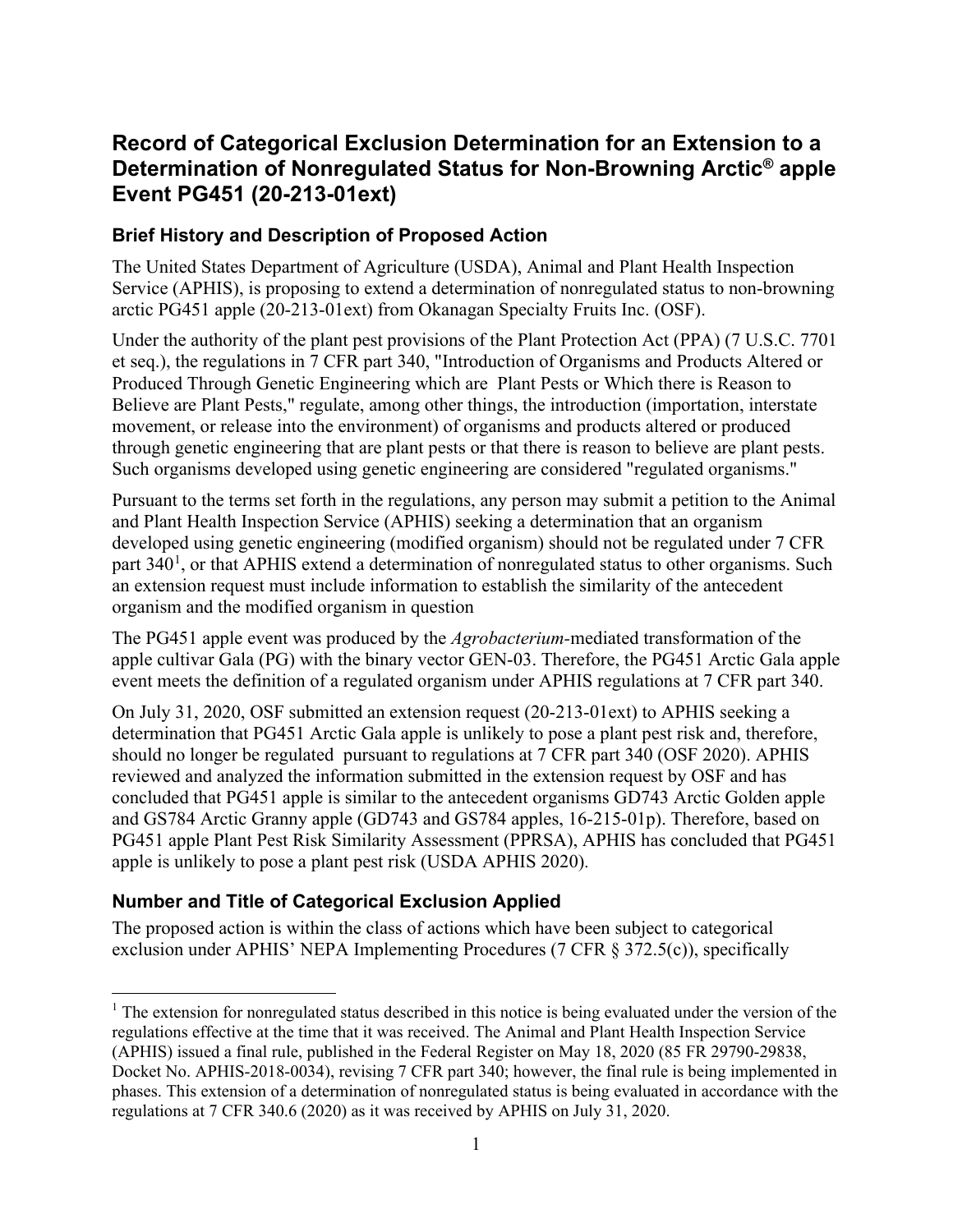# **Record of Categorical Exclusion Determination for an Extension to a Determination of Nonregulated Status for Non-Browning Arctic® apple Event PG451 (20-213-01ext)**

### **Brief History and Description of Proposed Action**

The United States Department of Agriculture (USDA), Animal and Plant Health Inspection Service (APHIS), is proposing to extend a determination of nonregulated status to non-browning arctic PG451 apple (20-213-01ext) from Okanagan Specialty Fruits Inc. (OSF).

Under the authority of the plant pest provisions of the Plant Protection Act (PPA) (7 U.S.C. 7701 et seq.), the regulations in 7 CFR part 340, "Introduction of Organisms and Products Altered or Produced Through Genetic Engineering which are Plant Pests or Which there is Reason to Believe are Plant Pests," regulate, among other things, the introduction (importation, interstate movement, or release into the environment) of organisms and products altered or produced through genetic engineering that are plant pests or that there is reason to believe are plant pests. Such organisms developed using genetic engineering are considered "regulated organisms."

Pursuant to the terms set forth in the regulations, any person may submit a petition to the Animal and Plant Health Inspection Service (APHIS) seeking a determination that an organism developed using genetic engineering (modified organism) should not be regulated under 7 CFR part 340<sup>[1](#page-0-0)</sup>, or that APHIS extend a determination of nonregulated status to other organisms. Such an extension request must include information to establish the similarity of the antecedent organism and the modified organism in question

The PG451 apple event was produced by the *Agrobacterium-*mediated transformation of the apple cultivar Gala (PG) with the binary vector GEN-03. Therefore, the PG451 Arctic Gala apple event meets the definition of a regulated organism under APHIS regulations at 7 CFR part 340.

On July 31, 2020, OSF submitted an extension request (20-213-01ext) to APHIS seeking a determination that PG451 Arctic Gala apple is unlikely to pose a plant pest risk and, therefore, should no longer be regulated pursuant to regulations at 7 CFR part 340 (OSF 2020). APHIS reviewed and analyzed the information submitted in the extension request by OSF and has concluded that PG451 apple is similar to the antecedent organisms GD743 Arctic Golden apple and GS784 Arctic Granny apple (GD743 and GS784 apples, 16-215-01p). Therefore, based on PG451 apple Plant Pest Risk Similarity Assessment (PPRSA), APHIS has concluded that PG451 apple is unlikely to pose a plant pest risk (USDA APHIS 2020).

# **Number and Title of Categorical Exclusion Applied**

The proposed action is within the class of actions which have been subject to categorical exclusion under APHIS' NEPA Implementing Procedures (7 CFR § 372.5(c)), specifically

<span id="page-0-0"></span><sup>&</sup>lt;sup>1</sup> The extension for nonregulated status described in this notice is being evaluated under the version of the regulations effective at the time that it was received. The Animal and Plant Health Inspection Service (APHIS) issued a final rule, published in the Federal Register on May 18, 2020 (85 FR 29790-29838, Docket No. APHIS-2018-0034), revising 7 CFR part 340; however, the final rule is being implemented in phases. This extension of a determination of nonregulated status is being evaluated in accordance with the regulations at 7 CFR 340.6 (2020) as it was received by APHIS on July 31, 2020.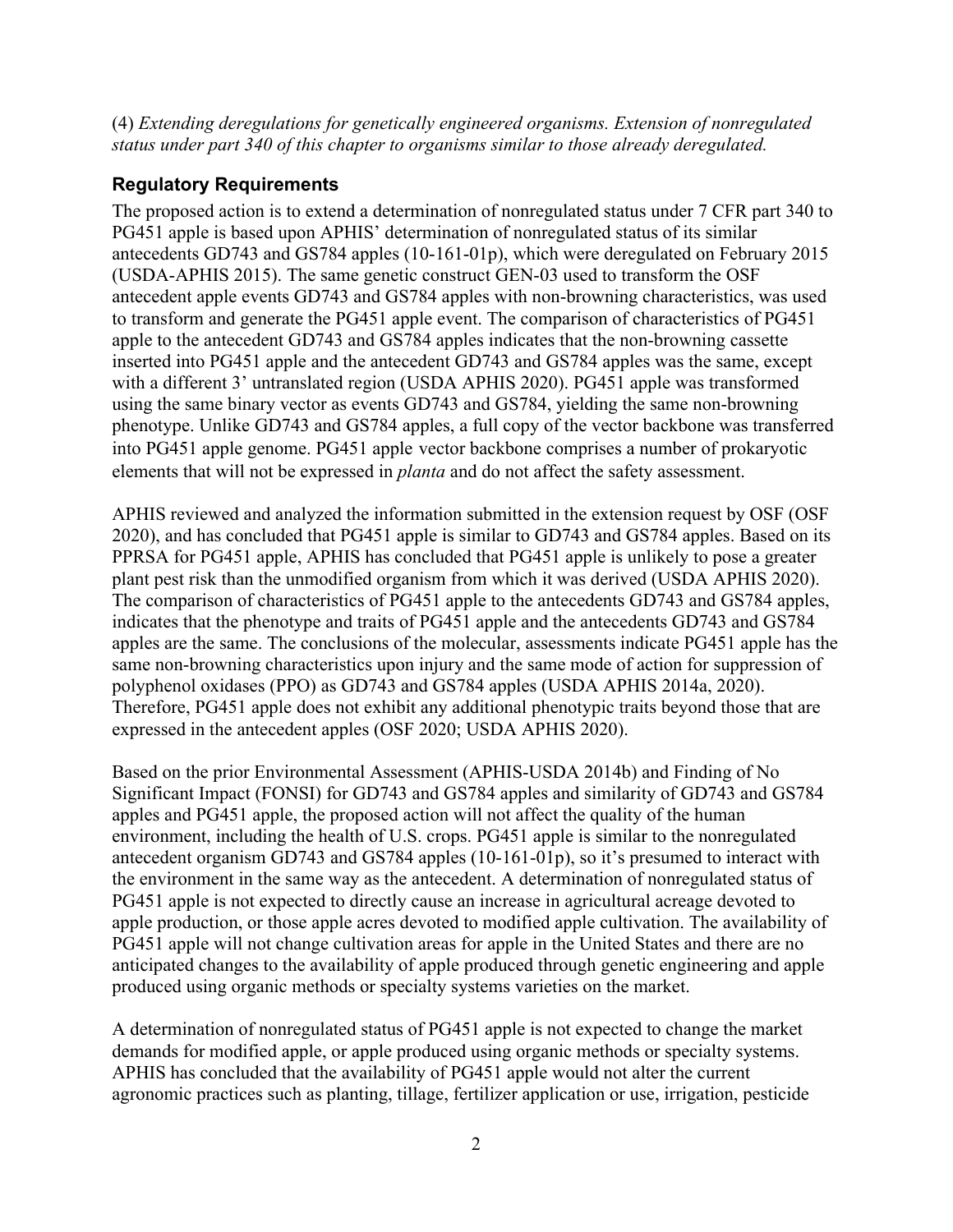(4) *Extending deregulations for genetically engineered organisms. Extension of nonregulated status under part 340 of this chapter to organisms similar to those already deregulated.*

## **Regulatory Requirements**

The proposed action is to extend a determination of nonregulated status under 7 CFR part 340 to PG451 apple is based upon APHIS' determination of nonregulated status of its similar antecedents GD743 and GS784 apples (10-161-01p), which were deregulated on February 2015 (USDA-APHIS 2015). The same genetic construct GEN-03 used to transform the OSF antecedent apple events GD743 and GS784 apples with non-browning characteristics, was used to transform and generate the PG451 apple event. The comparison of characteristics of PG451 apple to the antecedent GD743 and GS784 apples indicates that the non-browning cassette inserted into PG451 apple and the antecedent GD743 and GS784 apples was the same, except with a different 3' untranslated region (USDA APHIS 2020). PG451 apple was transformed using the same binary vector as events GD743 and GS784, yielding the same non-browning phenotype. Unlike GD743 and GS784 apples, a full copy of the vector backbone was transferred into PG451 apple genome. PG451 apple vector backbone comprises a number of prokaryotic elements that will not be expressed in *planta* and do not affect the safety assessment.

APHIS reviewed and analyzed the information submitted in the extension request by OSF (OSF 2020), and has concluded that PG451 apple is similar to GD743 and GS784 apples. Based on its PPRSA for PG451 apple, APHIS has concluded that PG451 apple is unlikely to pose a greater plant pest risk than the unmodified organism from which it was derived (USDA APHIS 2020). The comparison of characteristics of PG451 apple to the antecedents GD743 and GS784 apples, indicates that the phenotype and traits of PG451 apple and the antecedents GD743 and GS784 apples are the same. The conclusions of the molecular, assessments indicate PG451 apple has the same non-browning characteristics upon injury and the same mode of action for suppression of polyphenol oxidases (PPO) as GD743 and GS784 apples (USDA APHIS 2014a, 2020). Therefore, PG451 apple does not exhibit any additional phenotypic traits beyond those that are expressed in the antecedent apples (OSF 2020; USDA APHIS 2020).

Based on the prior Environmental Assessment (APHIS-USDA 2014b) and Finding of No Significant Impact (FONSI) for GD743 and GS784 apples and similarity of GD743 and GS784 apples and PG451 apple, the proposed action will not affect the quality of the human environment, including the health of U.S. crops. PG451 apple is similar to the nonregulated antecedent organism GD743 and GS784 apples (10-161-01p), so it's presumed to interact with the environment in the same way as the antecedent. A determination of nonregulated status of PG451 apple is not expected to directly cause an increase in agricultural acreage devoted to apple production, or those apple acres devoted to modified apple cultivation. The availability of PG451 apple will not change cultivation areas for apple in the United States and there are no anticipated changes to the availability of apple produced through genetic engineering and apple produced using organic methods or specialty systems varieties on the market.

A determination of nonregulated status of PG451 apple is not expected to change the market demands for modified apple, or apple produced using organic methods or specialty systems. APHIS has concluded that the availability of PG451 apple would not alter the current agronomic practices such as planting, tillage, fertilizer application or use, irrigation, pesticide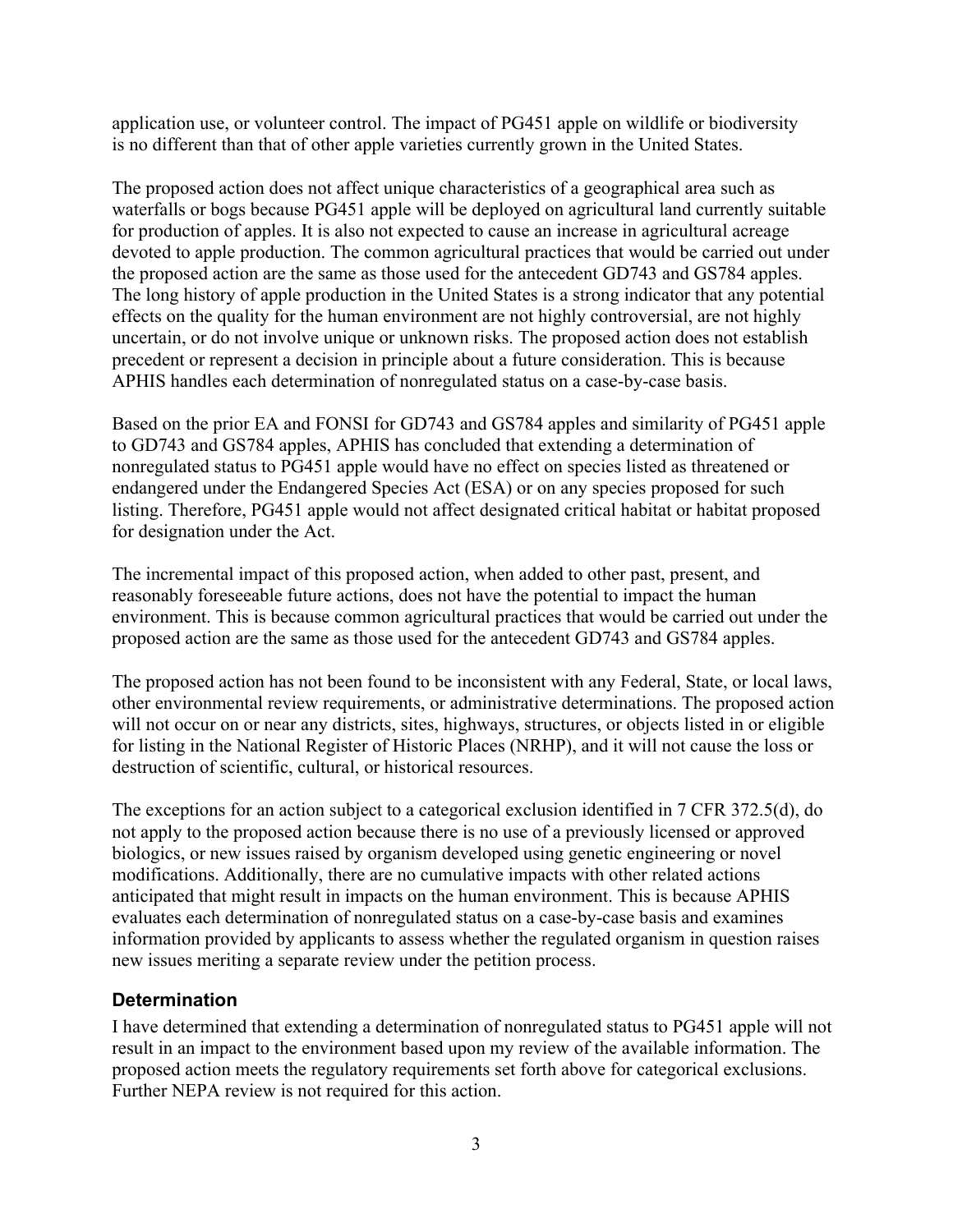application use, or volunteer control. The impact of PG451 apple on wildlife or biodiversity is no different than that of other apple varieties currently grown in the United States.

The proposed action does not affect unique characteristics of a geographical area such as waterfalls or bogs because PG451 apple will be deployed on agricultural land currently suitable for production of apples. It is also not expected to cause an increase in agricultural acreage devoted to apple production. The common agricultural practices that would be carried out under the proposed action are the same as those used for the antecedent GD743 and GS784 apples. The long history of apple production in the United States is a strong indicator that any potential effects on the quality for the human environment are not highly controversial, are not highly uncertain, or do not involve unique or unknown risks. The proposed action does not establish precedent or represent a decision in principle about a future consideration. This is because APHIS handles each determination of nonregulated status on a case-by-case basis.

Based on the prior EA and FONSI for GD743 and GS784 apples and similarity of PG451 apple to GD743 and GS784 apples, APHIS has concluded that extending a determination of nonregulated status to PG451 apple would have no effect on species listed as threatened or endangered under the Endangered Species Act (ESA) or on any species proposed for such listing. Therefore, PG451 apple would not affect designated critical habitat or habitat proposed for designation under the Act.

The incremental impact of this proposed action, when added to other past, present, and reasonably foreseeable future actions, does not have the potential to impact the human environment. This is because common agricultural practices that would be carried out under the proposed action are the same as those used for the antecedent GD743 and GS784 apples.

The proposed action has not been found to be inconsistent with any Federal, State, or local laws, other environmental review requirements, or administrative determinations. The proposed action will not occur on or near any districts, sites, highways, structures, or objects listed in or eligible for listing in the National Register of Historic Places (NRHP), and it will not cause the loss or destruction of scientific, cultural, or historical resources.

The exceptions for an action subject to a categorical exclusion identified in 7 CFR 372.5(d), do not apply to the proposed action because there is no use of a previously licensed or approved biologics, or new issues raised by organism developed using genetic engineering or novel modifications. Additionally, there are no cumulative impacts with other related actions anticipated that might result in impacts on the human environment. This is because APHIS evaluates each determination of nonregulated status on a case-by-case basis and examines information provided by applicants to assess whether the regulated organism in question raises new issues meriting a separate review under the petition process.

#### **Determination**

I have determined that extending a determination of nonregulated status to PG451 apple will not result in an impact to the environment based upon my review of the available information. The proposed action meets the regulatory requirements set forth above for categorical exclusions. Further NEPA review is not required for this action.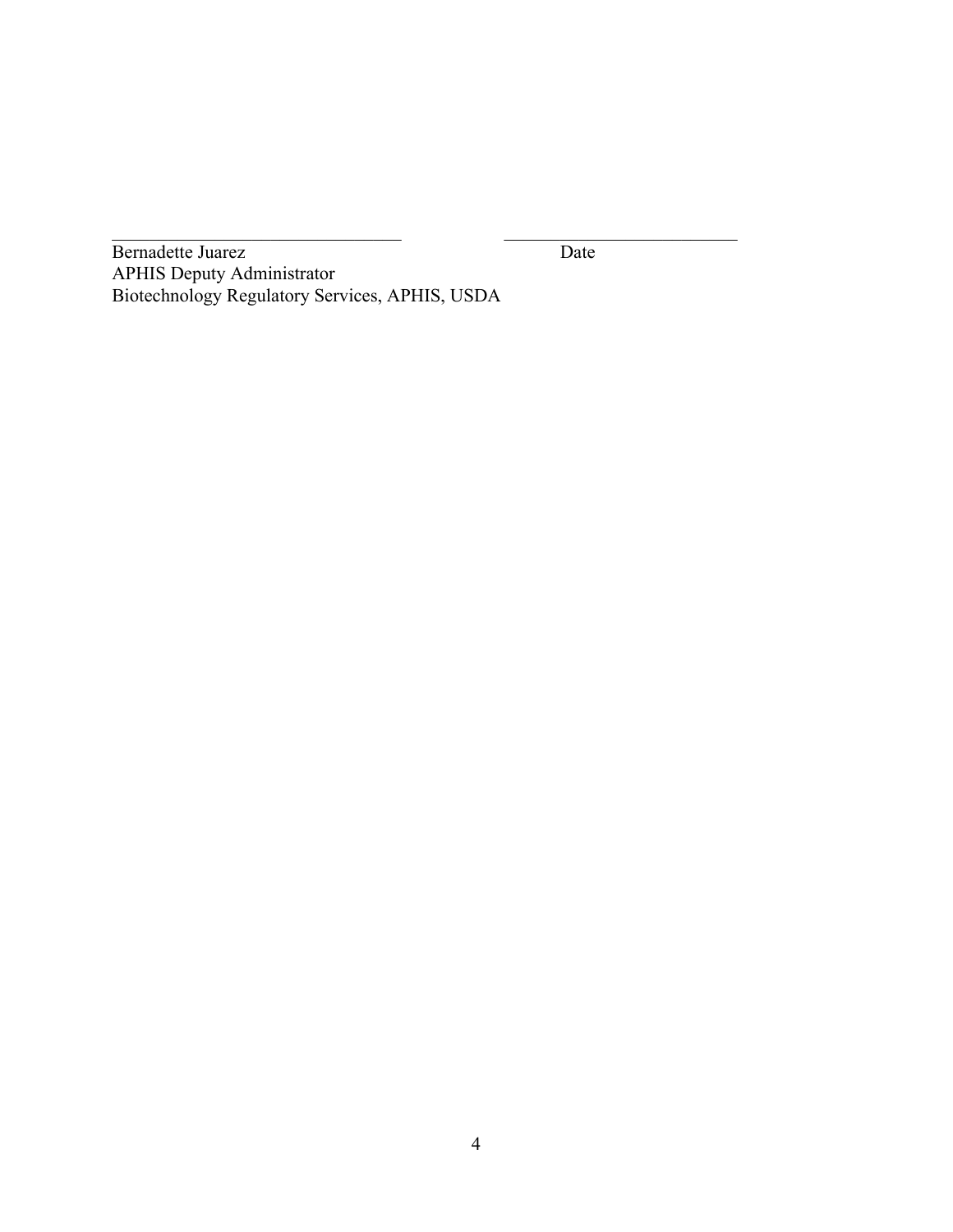Bernadette Juarez Date APHIS Deputy Administrator Biotechnology Regulatory Services, APHIS, USDA

 $\frac{1}{2}$  ,  $\frac{1}{2}$  ,  $\frac{1}{2}$  ,  $\frac{1}{2}$  ,  $\frac{1}{2}$  ,  $\frac{1}{2}$  ,  $\frac{1}{2}$  ,  $\frac{1}{2}$  ,  $\frac{1}{2}$  ,  $\frac{1}{2}$  ,  $\frac{1}{2}$  ,  $\frac{1}{2}$  ,  $\frac{1}{2}$  ,  $\frac{1}{2}$  ,  $\frac{1}{2}$  ,  $\frac{1}{2}$  ,  $\frac{1}{2}$  ,  $\frac{1}{2}$  ,  $\frac{1$